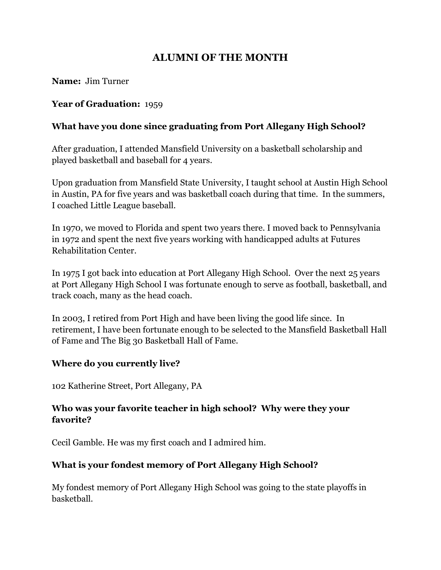# **ALUMNI OF THE MONTH**

**Name:** Jim Turner

### **Year of Graduation:** 1959

# **What have you done since graduating from Port Allegany High School?**

After graduation, I attended Mansfield University on a basketball scholarship and played basketball and baseball for 4 years.

Upon graduation from Mansfield State University, I taught school at Austin High School in Austin, PA for five years and was basketball coach during that time. In the summers, I coached Little League baseball.

In 1970, we moved to Florida and spent two years there. I moved back to Pennsylvania in 1972 and spent the next five years working with handicapped adults at Futures Rehabilitation Center.

In 1975 I got back into education at Port Allegany High School. Over the next 25 years at Port Allegany High School I was fortunate enough to serve as football, basketball, and track coach, many as the head coach.

In 2003, I retired from Port High and have been living the good life since. In retirement, I have been fortunate enough to be selected to the Mansfield Basketball Hall of Fame and The Big 30 Basketball Hall of Fame.

### **Where do you currently live?**

102 Katherine Street, Port Allegany, PA

# **Who was your favorite teacher in high school? Why were they your favorite?**

Cecil Gamble. He was my first coach and I admired him.

### **What is your fondest memory of Port Allegany High School?**

My fondest memory of Port Allegany High School was going to the state playoffs in basketball.